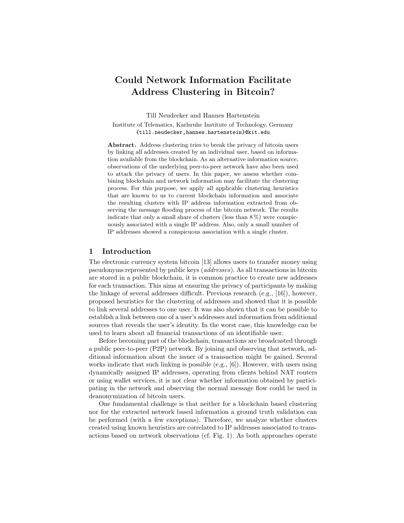# Could Network Information Facilitate Address Clustering in Bitcoin?

Till Neudecker and Hannes Hartenstein

Institute of Telematics, Karlsruhe Institute of Technology, Germany {till.neudecker,hannes.hartenstein}@kit.edu

Abstract. Address clustering tries to break the privacy of bitcoin users by linking all addresses created by an individual user, based on information available from the blockchain. As an alternative information source, observations of the underlying peer-to-peer network have also been used to attack the privacy of users. In this paper, we assess whether combining blockchain and network information may facilitate the clustering process. For this purpose, we apply all applicable clustering heuristics that are known to us to current blockchain information and associate the resulting clusters with IP address information extracted from observing the message flooding process of the bitcoin network. The results indicate that only a small share of clusters (less than  $8\%$ ) were conspicuously associated with a single IP address. Also, only a small number of IP addresses showed a conspicuous association with a single cluster.

#### 1 Introduction

The electronic currency system bitcoin [13] allows users to transfer money using pseudonyms represented by public keys (addresses). As all transactions in bitcoin are stored in a public blockchain, it is common practice to create new addresses for each transaction. This aims at ensuring the privacy of participants by making the linkage of several addresses difficult. Previous research (e.g., [16]), however, proposed heuristics for the clustering of addresses and showed that it is possible to link several addresses to one user. It was also shown that it can be possible to establish a link between one of a user's addresses and information from additional sources that reveals the user's identity. In the worst case, this knowledge can be used to learn about all financial transactions of an identifiable user.

Before becoming part of the blockchain, transactions are broadcasted through a public peer-to-peer (P2P) network. By joining and observing that network, additional information about the issuer of a transaction might be gained. Several works indicate that such linking is possible  $(e.g., [6])$ . However, with users using dynamically assigned IP addresses, operating from clients behind NAT routers or using wallet services, it is not clear whether information obtained by participating in the network and observing the normal message flow could be used in deanonymization of bitcoin users.

One fundamental challenge is that neither for a blockchain based clustering nor for the extracted network based information a ground truth validation can be performed (with a few exceptions). Therefore, we analyze whether clusters created using known heuristics are correlated to IP addresses associated to transactions based on network observations (cf. Fig. 1). As both approaches operate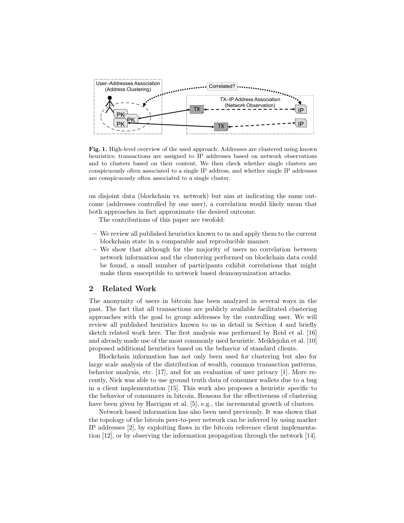

Fig. 1. High-level overview of the used approach: Addresses are clustered using known heuristics; transactions are assigned to IP addresses based on network observations and to clusters based on their content. We then check whether single clusters are conspicuously often associated to a single IP address, and whether single IP addresses are conspicuously often associated to a single cluster.

on disjoint data (blockchain vs. network) but aim at indicating the same outcome (addresses controlled by one user), a correlation would likely mean that both approaches in fact approximate the desired outcome.

The contributions of this paper are twofold:

- We review all published heuristics known to us and apply them to the current blockchain state in a comparable and reproducible manner.
- We show that although for the majority of users no correlation between network information and the clustering performed on blockchain data could be found, a small number of participants exhibit correlations that might make them susceptible to network based deanonymization attacks.

# 2 Related Work

The anonymity of users in bitcoin has been analyzed in several ways in the past. The fact that all transactions are publicly available facilitated clustering approaches with the goal to group addresses by the controlling user. We will review all published heuristics known to us in detail in Section 4 and briefly sketch related work here. The first analysis was performed by Reid et al. [16] and already made use of the most commonly used heuristic. Meiklejohn et al. [10] proposed additional heuristics based on the behavior of standard clients.

Blockchain information has not only been used for clustering but also for large scale analysis of the distribution of wealth, common transaction patterns, behavior analysis, etc. [17], and for an evaluation of user privacy [1]. More recently, Nick was able to use ground truth data of consumer wallets due to a bug in a client implementation [15]. This work also proposes a heuristic specific to the behavior of consumers in bitcoin. Reasons for the effectiveness of clustering have been given by Harrigan et al. [5], e.g., the incremental growth of clusters.

Network based information has also been used previously. It was shown that the topology of the bitcoin peer-to-peer network can be inferred by using marker IP addresses [2], by exploiting flaws in the bitcoin reference client implementation [12], or by observing the information propagation through the network [14].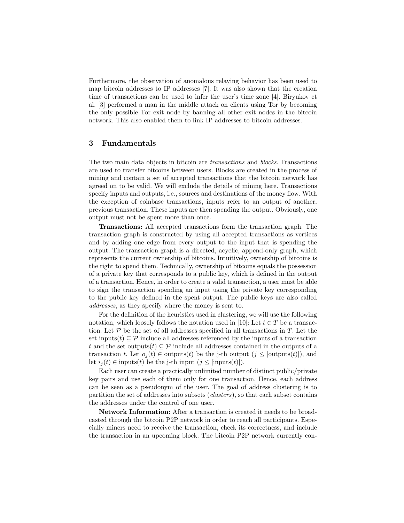Furthermore, the observation of anomalous relaying behavior has been used to map bitcoin addresses to IP addresses [7]. It was also shown that the creation time of transactions can be used to infer the user's time zone [4]. Biryukov et al. [3] performed a man in the middle attack on clients using Tor by becoming the only possible Tor exit node by banning all other exit nodes in the bitcoin network. This also enabled them to link IP addresses to bitcoin addresses.

## 3 Fundamentals

The two main data objects in bitcoin are transactions and blocks. Transactions are used to transfer bitcoins between users. Blocks are created in the process of mining and contain a set of accepted transactions that the bitcoin network has agreed on to be valid. We will exclude the details of mining here. Transactions specify inputs and outputs, i.e., sources and destinations of the money flow. With the exception of coinbase transactions, inputs refer to an output of another, previous transaction. These inputs are then spending the output. Obviously, one output must not be spent more than once.

Transactions: All accepted transactions form the transaction graph. The transaction graph is constructed by using all accepted transactions as vertices and by adding one edge from every output to the input that is spending the output. The transaction graph is a directed, acyclic, append-only graph, which represents the current ownership of bitcoins. Intuitively, ownership of bitcoins is the right to spend them. Technically, ownership of bitcoins equals the possession of a private key that corresponds to a public key, which is defined in the output of a transaction. Hence, in order to create a valid transaction, a user must be able to sign the transaction spending an input using the private key corresponding to the public key defined in the spent output. The public keys are also called addresses, as they specify where the money is sent to.

For the definition of the heuristics used in clustering, we will use the following notation, which loosely follows the notation used in [10]: Let  $t \in T$  be a transaction. Let  $P$  be the set of all addresses specified in all transactions in  $T$ . Let the set inputs $(t) \subseteq \mathcal{P}$  include all addresses referenced by the inputs of a transaction t and the set outputs $(t) \subseteq \mathcal{P}$  include all addresses contained in the outputs of a transaction t. Let  $o_i(t) \in \text{outputs}(t)$  be the j-th output  $(j \leq |\text{outputs}(t)|)$ , and let  $i_j(t) \in \text{inputs}(t)$  be the j-th input  $(j \leq |\text{inputs}(t)|)$ .

Each user can create a practically unlimited number of distinct public/private key pairs and use each of them only for one transaction. Hence, each address can be seen as a pseudonym of the user. The goal of address clustering is to partition the set of addresses into subsets (clusters), so that each subset contains the addresses under the control of one user.

Network Information: After a transaction is created it needs to be broadcasted through the bitcoin P2P network in order to reach all participants. Especially miners need to receive the transaction, check its correctness, and include the transaction in an upcoming block. The bitcoin P2P network currently con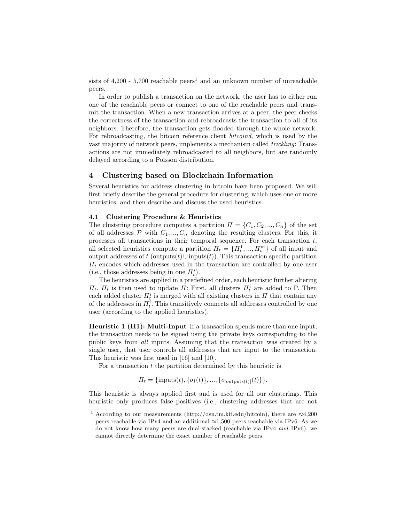sists of  $4,200 - 5,700$  reachable peers<sup>1</sup> and an unknown number of unreachable peers.

In order to publish a transaction on the network, the user has to either run one of the reachable peers or connect to one of the reachable peers and transmit the transaction. When a new transaction arrives at a peer, the peer checks the correctness of the transaction and rebroadcasts the transaction to all of its neighbors. Therefore, the transaction gets flooded through the whole network. For rebroadcasting, the bitcoin reference client bitcoind, which is used by the vast majority of network peers, implements a mechanism called *trickling*: Transactions are not immediately rebroadcasted to all neighbors, but are randomly delayed according to a Poisson distribution.

#### 4 Clustering based on Blockchain Information

Several heuristics for address clustering in bitcoin have been proposed. We will first briefly describe the general procedure for clustering, which uses one or more heuristics, and then describe and discuss the used heuristics.

#### 4.1 Clustering Procedure & Heuristics

The clustering procedure computes a partition  $\Pi = \{C_1, C_2, ..., C_n\}$  of the set of all addresses  $P$  with  $C_1, ..., C_n$  denoting the resulting clusters. For this, it processes all transactions in their temporal sequence. For each transaction  $t$ , all selected heuristics compute a partition  $\Pi_t = \{I_t^1, ..., I_t^m\}$  of all input and output addresses of t (outputs $(t)$ ∪inputs $(t)$ ). This transaction specific partition  $\Pi_t$  encodes which addresses used in the transaction are controlled by one user (i.e., those addresses being in one  $\Pi_t^i$ ).

The heuristics are applied in a predefined order, each heuristic further altering  $\Pi_t$ .  $\Pi_t$  is then used to update  $\Pi$ : First, all clusters  $\Pi_t^i$  are added to P. Then each added cluster  $\Pi_t^i$  is merged with all existing clusters in  $\Pi$  that contain any of the addresses in  $\prod_t^i$ . This transitively connects all addresses controlled by one user (according to the applied heuristics).

Heuristic 1 (H1): Multi-Input If a transaction spends more than one input, the transaction needs to be signed using the private keys corresponding to the public keys from all inputs. Assuming that the transaction was created by a single user, that user controls all addresses that are input to the transaction. This heuristic was first used in [16] and [10].

For a transaction  $t$  the partition determined by this heuristic is

 $\Pi_t = {\text{inputs}(t), \{o_1(t)\}, ..., \{o_{\text{loutputs}(t)|}(t)\}}.$ 

This heuristic is always applied first and is used for all our clusterings. This heuristic only produces false positives (i.e., clustering addresses that are not

<sup>&</sup>lt;sup>1</sup> According to our measurements (http://dsn.tm.kit.edu/bitcoin), there are  $\approx$ 4,200 peers reachable via IPv4 and an additional ≈1,500 peers reachable via IPv6. As we do not know how many peers are dual-stacked (reachable via IPv4 and IPv6), we cannot directly determine the exact number of reachable peers.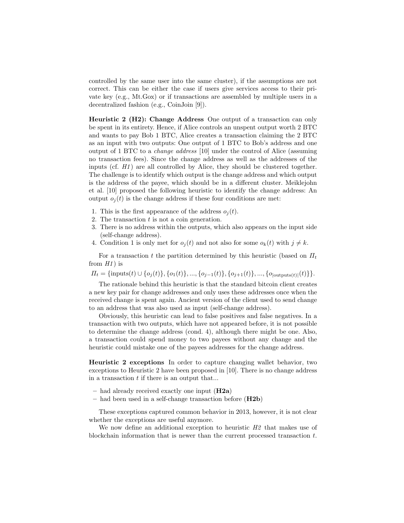controlled by the same user into the same cluster), if the assumptions are not correct. This can be either the case if users give services access to their private key (e.g., Mt.Gox) or if transactions are assembled by multiple users in a decentralized fashion (e.g., CoinJoin [9]).

Heuristic 2 (H2): Change Address One output of a transaction can only be spent in its entirety. Hence, if Alice controls an unspent output worth 2 BTC and wants to pay Bob 1 BTC, Alice creates a transaction claiming the 2 BTC as an input with two outputs: One output of 1 BTC to Bob's address and one output of 1 BTC to a change address [10] under the control of Alice (assuming no transaction fees). Since the change address as well as the addresses of the inputs (cf.  $H1$ ) are all controlled by Alice, they should be clustered together. The challenge is to identify which output is the change address and which output is the address of the payee, which should be in a different cluster. Meiklejohn et al. [10] proposed the following heuristic to identify the change address: An output  $o_i(t)$  is the change address if these four conditions are met:

- 1. This is the first appearance of the address  $o_i(t)$ .
- 2. The transaction  $t$  is not a coin generation.
- 3. There is no address within the outputs, which also appears on the input side (self-change address).
- 4. Condition 1 is only met for  $o_i(t)$  and not also for some  $o_k(t)$  with  $j \neq k$ .

For a transaction t the partition determined by this heuristic (based on  $\Pi_t$ from  $H1$ ) is

 $\Pi_t = {\text{inputs}(t) \cup \{o_j(t)\}, \{o_1(t)\}, ..., \{o_{j-1}(t)\}, \{o_{j+1}(t)\}, ..., \{o_{\text{outputs}(t)|}(t)\}\}.$ 

The rationale behind this heuristic is that the standard bitcoin client creates a new key pair for change addresses and only uses these addresses once when the received change is spent again. Ancient version of the client used to send change to an address that was also used as input (self-change address).

Obviously, this heuristic can lead to false positives and false negatives. In a transaction with two outputs, which have not appeared before, it is not possible to determine the change address (cond. 4), although there might be one. Also, a transaction could spend money to two payees without any change and the heuristic could mistake one of the payees addresses for the change address.

Heuristic 2 exceptions In order to capture changing wallet behavior, two exceptions to Heuristic 2 have been proposed in [10]. There is no change address in a transaction  $t$  if there is an output that...

- had already received exactly one input  $(H2a)$
- had been used in a self-change transaction before  $(H2b)$

These exceptions captured common behavior in 2013, however, it is not clear whether the exceptions are useful anymore.

We now define an additional exception to heuristic H2 that makes use of blockchain information that is newer than the current processed transaction  $t$ .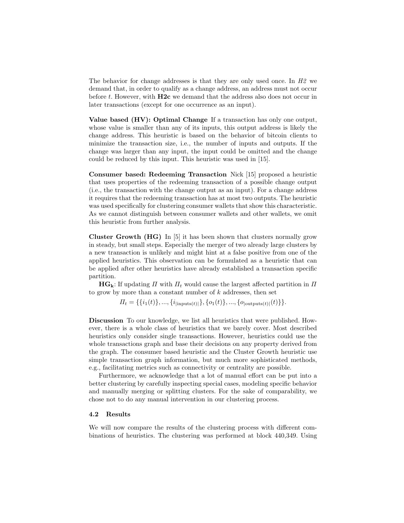The behavior for change addresses is that they are only used once. In H2 we demand that, in order to qualify as a change address, an address must not occur before t. However, with  $H2c$  we demand that the address also does not occur in later transactions (except for one occurrence as an input).

Value based (HV): Optimal Change If a transaction has only one output, whose value is smaller than any of its inputs, this output address is likely the change address. This heuristic is based on the behavior of bitcoin clients to minimize the transaction size, i.e., the number of inputs and outputs. If the change was larger than any input, the input could be omitted and the change could be reduced by this input. This heuristic was used in [15].

Consumer based: Redeeming Transaction Nick [15] proposed a heuristic that uses properties of the redeeming transaction of a possible change output (i.e., the transaction with the change output as an input). For a change address it requires that the redeeming transaction has at most two outputs. The heuristic was used specifically for clustering consumer wallets that show this characteristic. As we cannot distinguish between consumer wallets and other wallets, we omit this heuristic from further analysis.

Cluster Growth (HG) In [5] it has been shown that clusters normally grow in steady, but small steps. Especially the merger of two already large clusters by a new transaction is unlikely and might hint at a false positive from one of the applied heuristics. This observation can be formulated as a heuristic that can be applied after other heuristics have already established a transaction specific partition.

 $\mathbf{H} \mathbf{G}_{\mathbf{k}}$ : If updating  $\Pi$  with  $\Pi_t$  would cause the largest affected partition in  $\Pi$ to grow by more than a constant number of  $k$  addresses, then set

 $\Pi_t = \{ \{i_1(t)\}, \ldots, \{i_{|\text{inputs}(t)|}\}, \{o_1(t)\}, \ldots, \{o_{|\text{outputs}(t)|}(t)\} \}.$ 

Discussion To our knowledge, we list all heuristics that were published. However, there is a whole class of heuristics that we barely cover. Most described heuristics only consider single transactions. However, heuristics could use the whole transactions graph and base their decisions on any property derived from the graph. The consumer based heuristic and the Cluster Growth heuristic use simple transaction graph information, but much more sophisticated methods, e.g., facilitating metrics such as connectivity or centrality are possible.

Furthermore, we acknowledge that a lot of manual effort can be put into a better clustering by carefully inspecting special cases, modeling specific behavior and manually merging or splitting clusters. For the sake of comparability, we chose not to do any manual intervention in our clustering process.

#### 4.2 Results

We will now compare the results of the clustering process with different combinations of heuristics. The clustering was performed at block 440,349. Using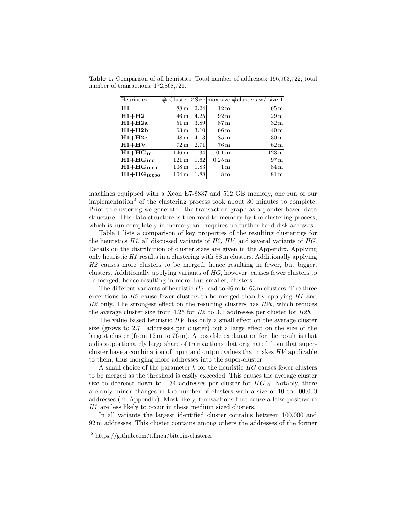| Heuristics            |                    |      |                   | # Cluster $\varnothing$ Size max size # clusters w/ size 1 |
|-----------------------|--------------------|------|-------------------|------------------------------------------------------------|
| H1                    | $88 \,\mathrm{m}$  | 2.24 | $12 \,\mathrm{m}$ | $65\,\mathrm{m}$                                           |
| $H1+H2$               | $46 \,\mathrm{m}$  | 4.25 | $92 \,\mathrm{m}$ | 29 <sub>m</sub>                                            |
| $H1+H2a$              | $51 \,\mathrm{m}$  | 3.89 | $87 \,\mathrm{m}$ | $32 \,\mathrm{m}$                                          |
| $H1+H2b$              | $63 \,\mathrm{m}$  | 3.10 | $66 \,\mathrm{m}$ | $40\,\mathrm{m}$                                           |
| $H1+H2c$              | 48 <sub>m</sub>    | 4.13 | $85 \,\mathrm{m}$ | $30\,\mathrm{m}$                                           |
| $H1+HV$               | $72 \,\mathrm{m}$  | 2.71 | 76 m              | $62 \,\mathrm{m}$                                          |
| $H1+HG_{10}$          | $146 \,\mathrm{m}$ | 1.34 | $0.1$ m           | $123 \,\mathrm{m}$                                         |
| $\rm _{H1+HG_{100}}$  | $121 \,\mathrm{m}$ | 1.62 | $0.25$ m          | $97 \text{ m}$                                             |
| $\rm _{H1+HG_{1000}}$ | $108\,\mathrm{m}$  | 1.83 | 1 <sub>m</sub>    | 84 m                                                       |
| $ H1+HG_{10000} $     | $104\,\mathrm{m}$  | 1.88 | 8 <sub>m</sub>    | $81\,\mathrm{m}$                                           |

Table 1. Comparison of all heuristics. Total number of addresses: 196,963,722, total number of transactions: 172,868,721.

machines equipped with a Xeon E7-8837 and 512 GB memory, one run of our implementation<sup>2</sup> of the clustering process took about 30 minutes to complete. Prior to clustering we generated the transaction graph as a pointer-based data structure. This data structure is then read to memory by the clustering process, which is run completely in-memory and requires no further hard disk accesses.

Table 1 lists a comparison of key properties of the resulting clusterings for the heuristics  $H1$ , all discussed variants of  $H2$ ,  $HV$ , and several variants of  $HG$ . Details on the distribution of cluster sizes are given in the Appendix. Applying only heuristic H1 results in a clustering with 88 m clusters. Additionally applying H2 causes more clusters to be merged, hence resulting in fewer, but bigger, clusters. Additionally applying variants of HG, however, causes fewer clusters to be merged, hence resulting in more, but smaller, clusters.

The different variants of heuristic H2 lead to 46 m to 63 m clusters. The three exceptions to  $H2$  cause fewer clusters to be merged than by applying  $H1$  and  $H2$  only. The strongest effect on the resulting clusters has  $H2b$ , which reduces the average cluster size from 4.25 for  $H2$  to 3.1 addresses per cluster for  $H2b$ .

The value based heuristic  $HV$  has only a small effect on the average cluster size (grows to 2.71 addresses per cluster) but a large effect on the size of the largest cluster (from 12 m to 76 m). A possible explanation for the result is that a disproportionately large share of transactions that originated from that supercluster have a combination of input and output values that makes  $HV$  applicable to them, thus merging more addresses into the super-cluster.

A small choice of the parameter  $k$  for the heuristic  $HG$  causes fewer clusters to be merged as the threshold is easily exceeded. This causes the average cluster size to decrease down to 1.34 addresses per cluster for  $HG_{10}$ . Notably, there are only minor changes in the number of clusters with a size of 10 to 100,000 addresses (cf. Appendix). Most likely, transactions that cause a false positive in H1 are less likely to occur in these medium sized clusters.

In all variants the largest identified cluster contains between 100,000 and 92 m addresses. This cluster contains among others the addresses of the former

<sup>2</sup> https://github.com/tillneu/bitcoin-clusterer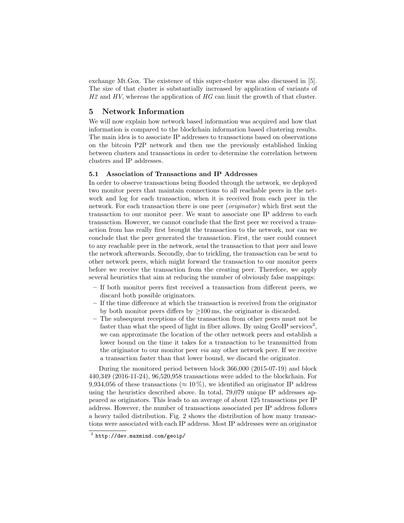exchange Mt.Gox. The existence of this super-cluster was also discussed in [5]. The size of that cluster is substantially increased by application of variants of  $H2$  and HV, whereas the application of HG can limit the growth of that cluster.

# 5 Network Information

We will now explain how network based information was acquired and how that information is compared to the blockchain information based clustering results. The main idea is to associate IP addresses to transactions based on observations on the bitcoin P2P network and then use the previously established linking between clusters and transactions in order to determine the correlation between clusters and IP addresses.

#### 5.1 Association of Transactions and IP Addresses

In order to observe transactions being flooded through the network, we deployed two monitor peers that maintain connections to all reachable peers in the network and log for each transaction, when it is received from each peer in the network. For each transaction there is one peer (*originator*) which first sent the transaction to our monitor peer. We want to associate one IP address to each transaction. However, we cannot conclude that the first peer we received a transaction from has really first brought the transaction to the network, nor can we conclude that the peer generated the transaction. First, the user could connect to any reachable peer in the network, send the transaction to that peer and leave the network afterwards. Secondly, due to trickling, the transaction can be sent to other network peers, which might forward the transaction to our monitor peers before we receive the transaction from the creating peer. Therefore, we apply several heuristics that aim at reducing the number of obviously false mappings:

- If both monitor peers first received a transaction from different peers, we discard both possible originators.
- If the time difference at which the transaction is received from the originator by both monitor peers differs by  $\geq 100$  ms, the originator is discarded.
- The subsequent receptions of the transaction from other peers must not be faster than what the speed of light in fiber allows. By using  $GeoIP$  services<sup>3</sup>, we can approximate the location of the other network peers and establish a lower bound on the time it takes for a transaction to be transmitted from the originator to our monitor peer via any other network peer. If we receive a transaction faster than that lower bound, we discard the originator.

During the monitored period between block 366,000 (2015-07-19) and block 440,349 (2016-11-24), 96,520,958 transactions were added to the blockchain. For 9,934,056 of these transactions ( $\approx 10\%$ ), we identified an originator IP address using the heuristics described above. In total, 79,079 unique IP addresses appeared as originators. This leads to an average of about 125 transactions per IP address. However, the number of transactions associated per IP address follows a heavy tailed distribution. Fig. 2 shows the distribution of how many transactions were associated with each IP address. Most IP addresses were an originator

 $^3$  http://dev.maxmind.com/geoip/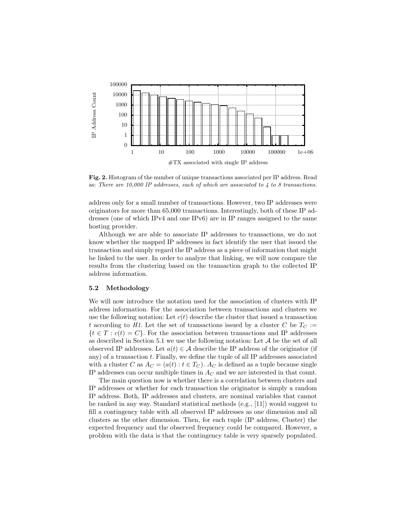

Fig. 2. Histogram of the number of unique transactions associated per IP address. Read as: There are  $10,000$  IP addresses, each of which are associated to  $4$  to 8 transactions.

address only for a small number of transactions. However, two IP addresses were originators for more than 65,000 transactions. Interestingly, both of these IP addresses (one of which IPv4 and one IPv6) are in IP ranges assigned to the same hosting provider.

Although we are able to associate IP addresses to transactions, we do not know whether the mapped IP addresses in fact identify the user that issued the transaction and simply regard the IP address as a piece of information that might be linked to the user. In order to analyze that linking, we will now compare the results from the clustering based on the transaction graph to the collected IP address information.

#### 5.2 Methodology

We will now introduce the notation used for the association of clusters with IP address information. For the association between transactions and clusters we use the following notation: Let  $c(t)$  describe the cluster that issued a transaction t according to H1. Let the set of transactions issued by a cluster C be  $T_{C}$  :=  ${t \in T : c(t) = C}$ . For the association between transactions and IP addresses as described in Section 5.1 we use the following notation: Let  $A$  be the set of all observed IP addresses. Let  $a(t) \in \mathcal{A}$  describe the IP address of the originator (if any) of a transaction  $t$ . Finally, we define the tuple of all IP addresses associated with a cluster C as  $A_C = (a(t): t \in T_C)$ .  $A_C$  is defined as a tuple because single IP addresses can occur multiple times in  $A_C$  and we are interested in that count.

The main question now is whether there is a correlation between clusters and IP addresses or whether for each transaction the originator is simply a random IP address. Both, IP addresses and clusters, are nominal variables that cannot be ranked in any way. Standard statistical methods (e.g., [11]) would suggest to fill a contingency table with all observed IP addresses as one dimension and all clusters as the other dimension. Then, for each tuple (IP address, Cluster) the expected frequency and the observed frequency could be compared. However, a problem with the data is that the contingency table is very sparsely populated.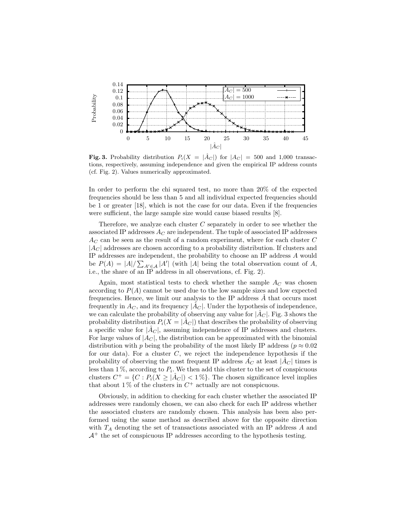

Fig. 3. Probability distribution  $P_i(X = |A_C|)$  for  $|A_C| = 500$  and 1,000 transactions, respectively, assuming independence and given the empirical IP address counts (cf. Fig. 2). Values numerically approximated.

In order to perform the chi squared test, no more than 20% of the expected frequencies should be less than 5 and all individual expected frequencies should be 1 or greater [18], which is not the case for our data. Even if the frequencies were sufficient, the large sample size would cause biased results [8].

Therefore, we analyze each cluster  $C$  separately in order to see whether the associated IP addresses  $A_C$  are independent. The tuple of associated IP addresses  $A_C$  can be seen as the result of a random experiment, where for each cluster  $C$  $|A_C|$  addresses are chosen according to a probability distribution. If clusters and IP addresses are independent, the probability to choose an IP address A would be  $P(A) = |A| / \sum_{A' \in \mathcal{A}} |A'|$  (with |A| being the total observation count of A, i.e., the share of an IP address in all observations, cf. Fig. 2).

Again, most statistical tests to check whether the sample  $A_C$  was chosen according to  $P(A)$  cannot be used due to the low sample sizes and low expected frequencies. Hence, we limit our analysis to the IP address  $\ddot{A}$  that occurs most frequently in  $A_C$ , and its frequency  $|\tilde{A}_C|$ . Under the hypothesis of independence, we can calculate the probability of observing any value for  $|A_C|$ . Fig. 3 shows the probability distribution  $P_i(X = |A_C|)$  that describes the probability of observing a specific value for  $|\hat{A}_C|$ , assuming independence of IP addresses and clusters. For large values of  $|A_C|$ , the distribution can be approximated with the binomial distribution with p being the probability of the most likely IP address ( $p \approx 0.02$ ) for our data). For a cluster  $C$ , we reject the independence hypothesis if the probability of observing the most frequent IP address  $\hat{A}_C$  at least  $|\hat{A}_C|$  times is less than  $1\%$ , according to  $P_i$ . We then add this cluster to the set of conspicuous clusters  $C^+ = \{C : P_i(X \geq |\hat{A}_C|) < 1\% \}$ . The chosen significance level implies that about  $1\%$  of the clusters in  $C^+$  actually are not conspicuous.

Obviously, in addition to checking for each cluster whether the associated IP addresses were randomly chosen, we can also check for each IP address whether the associated clusters are randomly chosen. This analysis has been also performed using the same method as described above for the opposite direction with  $T_A$  denoting the set of transactions associated with an IP address  $A$  and  $\mathcal{A}^+$  the set of conspicuous IP addresses according to the hypothesis testing.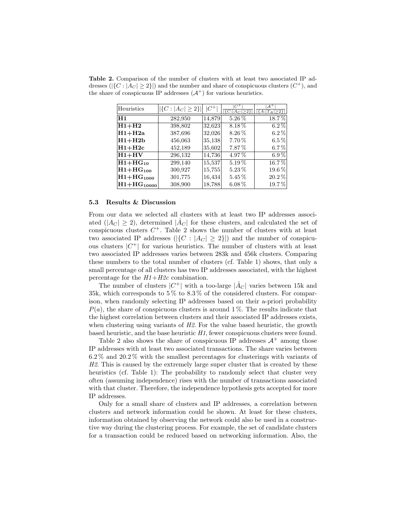Table 2. Comparison of the number of clusters with at least two associated IP addresses ( $|\{C : |A_C| \geq 2\}|$ ) and the number and share of conspicuous clusters  $(C^+)$ , and the share of conspicuous IP addresses  $(A^+)$  for various heuristics.

| Heuristics                                  | $ \{C :  A_C  \geq 2\} $ | $ C^+ $ | $C^+$<br>$\overline{ {C: A_C \geq 2} }$ | $\mathcal{A}^{\mp}$<br>$\overline{\left \left\{A:\left T_A\right \geq 2\right\}\right }$ |
|---------------------------------------------|--------------------------|---------|-----------------------------------------|------------------------------------------------------------------------------------------|
| H1                                          | 282,950                  | 14,879  | 5.26 %                                  | $18.7\%$                                                                                 |
| $H1+H2$                                     | 398,802                  | 32,623  | 8.18%                                   | $6.2\,\%$                                                                                |
| $H1+H2a$                                    | 387,696                  | 32,026  | 8.26 %                                  | $6.2\%$                                                                                  |
| $H1+H2b$                                    | 456,063                  | 35,138  | $7.70\%$                                | $6.5\%$                                                                                  |
| $H1+H2c$                                    | 452,189                  | 35,602  | $7.87\%$                                | $6.7\%$                                                                                  |
| $H1+HV$                                     | 296,132                  | 14,736  | $4.97\%$                                | $6.9\%$                                                                                  |
| $\overline{\mathrm{H1} + \mathrm{HG_{10}}}$ | 299,140                  | 15,537  | 5.19%                                   | $16.7\%$                                                                                 |
| $H1+HG_{100}$                               | 300,927                  | 15,755  | $5.23\%$                                | $19.6\,\%$                                                                               |
| $H1+HG_{1000}$                              | 301,775                  | 16,434  | $5.45\%$                                | 20.2%                                                                                    |
| $H1+HG_{10000}$                             | 308,900                  | 18,788  | $6.08\,\%$                              | $19.7\,\%$                                                                               |

#### 5.3 Results & Discussion

From our data we selected all clusters with at least two IP addresses associated ( $|A_C| \geq 2$ ), determined  $|A_C|$  for these clusters, and calculated the set of conspicuous clusters  $C^+$ . Table 2 shows the number of clusters with at least two associated IP addresses ( $|\{C : |A_C| \geq 2\}|$ ) and the number of conspicuous clusters  $|C^+|$  for various heuristics. The number of clusters with at least two associated IP addresses varies between 283k and 456k clusters. Comparing these numbers to the total number of clusters (cf. Table 1) shows, that only a small percentage of all clusters has two IP addresses associated, with the highest percentage for the  $H1+H2c$  combination.

The number of clusters  $|C^+|$  with a too-large  $|\hat{A}_C|$  varies between 15k and 35k, which corresponds to  $5\%$  to  $8.3\%$  of the considered clusters. For comparison, when randomly selecting IP addresses based on their a-priori probability  $P(a)$ , the share of conspicuous clusters is around 1%. The results indicate that the highest correlation between clusters and their associated IP addresses exists, when clustering using variants of  $H2$ . For the value based heuristic, the growth based heuristic, and the base heuristic H1, fewer conspicuous clusters were found.

Table 2 also shows the share of conspicuous IP addresses  $A^+$  among those IP addresses with at least two associated transactions. The share varies between 6.2 % and 20.2 % with the smallest percentages for clusterings with variants of H2. This is caused by the extremely large super cluster that is created by these heuristics (cf. Table 1): The probability to randomly select that cluster very often (assuming independence) rises with the number of transactions associated with that cluster. Therefore, the independence hypothesis gets accepted for more IP addresses.

Only for a small share of clusters and IP addresses, a correlation between clusters and network information could be shown. At least for these clusters, information obtained by observing the network could also be used in a constructive way during the clustering process. For example, the set of candidate clusters for a transaction could be reduced based on networking information. Also, the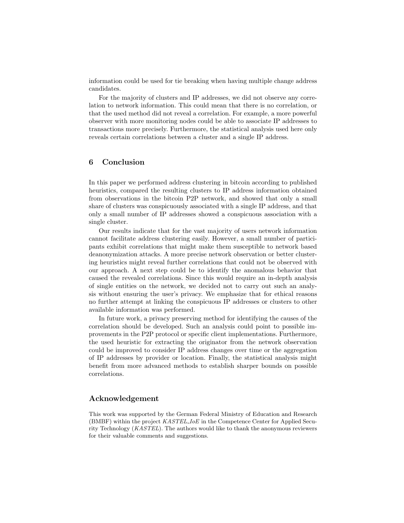information could be used for tie breaking when having multiple change address candidates.

For the majority of clusters and IP addresses, we did not observe any correlation to network information. This could mean that there is no correlation, or that the used method did not reveal a correlation. For example, a more powerful observer with more monitoring nodes could be able to associate IP addresses to transactions more precisely. Furthermore, the statistical analysis used here only reveals certain correlations between a cluster and a single IP address.

# 6 Conclusion

In this paper we performed address clustering in bitcoin according to published heuristics, compared the resulting clusters to IP address information obtained from observations in the bitcoin P2P network, and showed that only a small share of clusters was conspicuously associated with a single IP address, and that only a small number of IP addresses showed a conspicuous association with a single cluster.

Our results indicate that for the vast majority of users network information cannot facilitate address clustering easily. However, a small number of participants exhibit correlations that might make them susceptible to network based deanonymization attacks. A more precise network observation or better clustering heuristics might reveal further correlations that could not be observed with our approach. A next step could be to identify the anomalous behavior that caused the revealed correlations. Since this would require an in-depth analysis of single entities on the network, we decided not to carry out such an analysis without ensuring the user's privacy. We emphasize that for ethical reasons no further attempt at linking the conspicuous IP addresses or clusters to other available information was performed.

In future work, a privacy preserving method for identifying the causes of the correlation should be developed. Such an analysis could point to possible improvements in the P2P protocol or specific client implementations. Furthermore, the used heuristic for extracting the originator from the network observation could be improved to consider IP address changes over time or the aggregation of IP addresses by provider or location. Finally, the statistical analysis might benefit from more advanced methods to establish sharper bounds on possible correlations.

#### Acknowledgement

This work was supported by the German Federal Ministry of Education and Research (BMBF) within the project KASTEL IoE in the Competence Center for Applied Security Technology (KASTEL). The authors would like to thank the anonymous reviewers for their valuable comments and suggestions.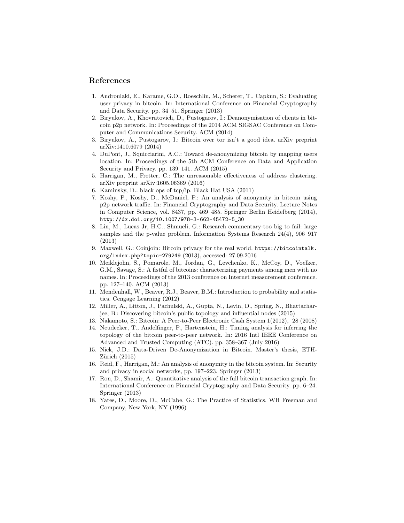### References

- 1. Androulaki, E., Karame, G.O., Roeschlin, M., Scherer, T., Capkun, S.: Evaluating user privacy in bitcoin. In: International Conference on Financial Cryptography and Data Security. pp. 34–51. Springer (2013)
- 2. Biryukov, A., Khovratovich, D., Pustogarov, I.: Deanonymisation of clients in bitcoin p2p network. In: Proceedings of the 2014 ACM SIGSAC Conference on Computer and Communications Security. ACM (2014)
- 3. Biryukov, A., Pustogarov, I.: Bitcoin over tor isn't a good idea. arXiv preprint arXiv:1410.6079 (2014)
- 4. DuPont, J., Squicciarini, A.C.: Toward de-anonymizing bitcoin by mapping users location. In: Proceedings of the 5th ACM Conference on Data and Application Security and Privacy. pp. 139–141. ACM (2015)
- 5. Harrigan, M., Fretter, C.: The unreasonable effectiveness of address clustering. arXiv preprint arXiv:1605.06369 (2016)
- 6. Kaminsky, D.: black ops of tcp/ip. Black Hat USA (2011)
- 7. Koshy, P., Koshy, D., McDaniel, P.: An analysis of anonymity in bitcoin using p2p network traffic. In: Financial Cryptography and Data Security. Lecture Notes in Computer Science, vol. 8437, pp. 469–485. Springer Berlin Heidelberg (2014), http://dx.doi.org/10.1007/978-3-662-45472-5\_30
- 8. Lin, M., Lucas Jr, H.C., Shmueli, G.: Research commentary-too big to fail: large samples and the p-value problem. Information Systems Research 24(4), 906–917 (2013)
- 9. Maxwell, G.: Coinjoin: Bitcoin privacy for the real world. https://bitcointalk. org/index.php?topic=279249 (2013), accessed: 27.09.2016
- 10. Meiklejohn, S., Pomarole, M., Jordan, G., Levchenko, K., McCoy, D., Voelker, G.M., Savage, S.: A fistful of bitcoins: characterizing payments among men with no names. In: Proceedings of the 2013 conference on Internet measurement conference. pp. 127–140. ACM (2013)
- 11. Mendenhall, W., Beaver, R.J., Beaver, B.M.: Introduction to probability and statistics. Cengage Learning (2012)
- 12. Miller, A., Litton, J., Pachulski, A., Gupta, N., Levin, D., Spring, N., Bhattacharjee, B.: Discovering bitcoin's public topology and influential nodes (2015)
- 13. Nakamoto, S.: Bitcoin: A Peer-to-Peer Electronic Cash System 1(2012), 28 (2008)
- 14. Neudecker, T., Andelfinger, P., Hartenstein, H.: Timing analysis for inferring the topology of the bitcoin peer-to-peer network. In: 2016 Intl IEEE Conference on Advanced and Trusted Computing (ATC). pp. 358–367 (July 2016)
- 15. Nick, J.D.: Data-Driven De-Anonymization in Bitcoin. Master's thesis, ETH- $Zürich (2015)$
- 16. Reid, F., Harrigan, M.: An analysis of anonymity in the bitcoin system. In: Security and privacy in social networks, pp. 197–223. Springer (2013)
- 17. Ron, D., Shamir, A.: Quantitative analysis of the full bitcoin transaction graph. In: International Conference on Financial Cryptography and Data Security. pp. 6–24. Springer (2013)
- 18. Yates, D., Moore, D., McCabe, G.: The Practice of Statistics. WH Freeman and Company, New York, NY (1996)